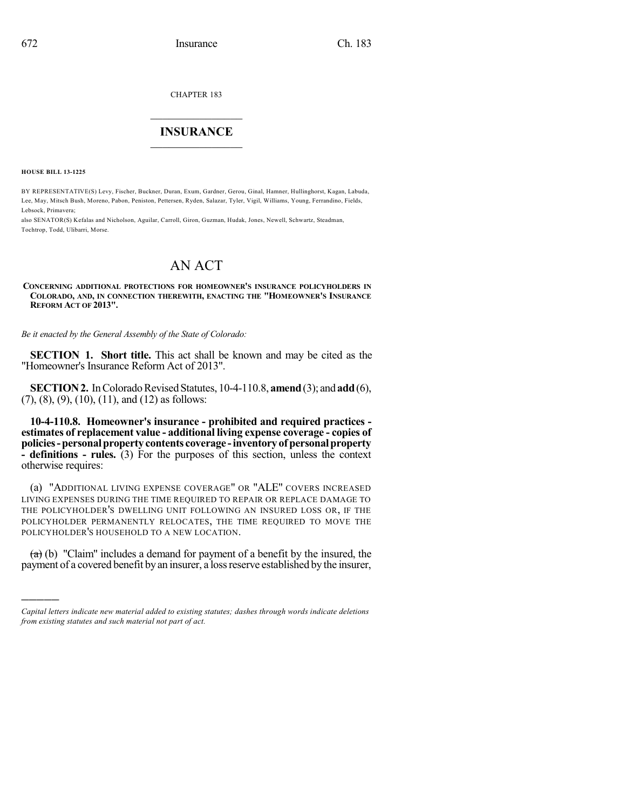CHAPTER 183

## $\overline{\phantom{a}}$  . The set of the set of the set of the set of the set of the set of the set of the set of the set of the set of the set of the set of the set of the set of the set of the set of the set of the set of the set o **INSURANCE**  $\frac{1}{2}$  ,  $\frac{1}{2}$  ,  $\frac{1}{2}$  ,  $\frac{1}{2}$  ,  $\frac{1}{2}$  ,  $\frac{1}{2}$  ,  $\frac{1}{2}$

**HOUSE BILL 13-1225**

)))))

BY REPRESENTATIVE(S) Levy, Fischer, Buckner, Duran, Exum, Gardner, Gerou, Ginal, Hamner, Hullinghorst, Kagan, Labuda, Lee, May, Mitsch Bush, Moreno, Pabon, Peniston, Pettersen, Ryden, Salazar, Tyler, Vigil, Williams, Young, Ferrandino, Fields, Lebsock, Primavera;

also SENATOR(S) Kefalas and Nicholson, Aguilar, Carroll, Giron, Guzman, Hudak, Jones, Newell, Schwartz, Steadman, Tochtrop, Todd, Ulibarri, Morse.

# AN ACT

**CONCERNING ADDITIONAL PROTECTIONS FOR HOMEOWNER'S INSURANCE POLICYHOLDERS IN COLORADO, AND, IN CONNECTION THEREWITH, ENACTING THE "HOMEOWNER'S INSURANCE REFORM ACT OF 2013".**

*Be it enacted by the General Assembly of the State of Colorado:*

**SECTION 1. Short title.** This act shall be known and may be cited as the "Homeowner's Insurance Reform Act of 2013".

**SECTION 2.** In Colorado Revised Statutes, 10-4-110.8, **amend** (3); and **add** (6), (7), (8), (9), (10), (11), and (12) as follows:

**10-4-110.8. Homeowner's insurance - prohibited and required practices estimates of replacement value - additional living expense coverage - copies of policies-personalproperty contents coverage -inventoryof personalproperty - definitions - rules.** (3) For the purposes of this section, unless the context otherwise requires:

(a) "ADDITIONAL LIVING EXPENSE COVERAGE" OR "ALE" COVERS INCREASED LIVING EXPENSES DURING THE TIME REQUIRED TO REPAIR OR REPLACE DAMAGE TO THE POLICYHOLDER'S DWELLING UNIT FOLLOWING AN INSURED LOSS OR, IF THE POLICYHOLDER PERMANENTLY RELOCATES, THE TIME REQUIRED TO MOVE THE POLICYHOLDER'S HOUSEHOLD TO A NEW LOCATION.

 $(a)$  (b) "Claim" includes a demand for payment of a benefit by the insured, the payment of a covered benefit byan insurer, a lossreserve established by the insurer,

*Capital letters indicate new material added to existing statutes; dashes through words indicate deletions from existing statutes and such material not part of act.*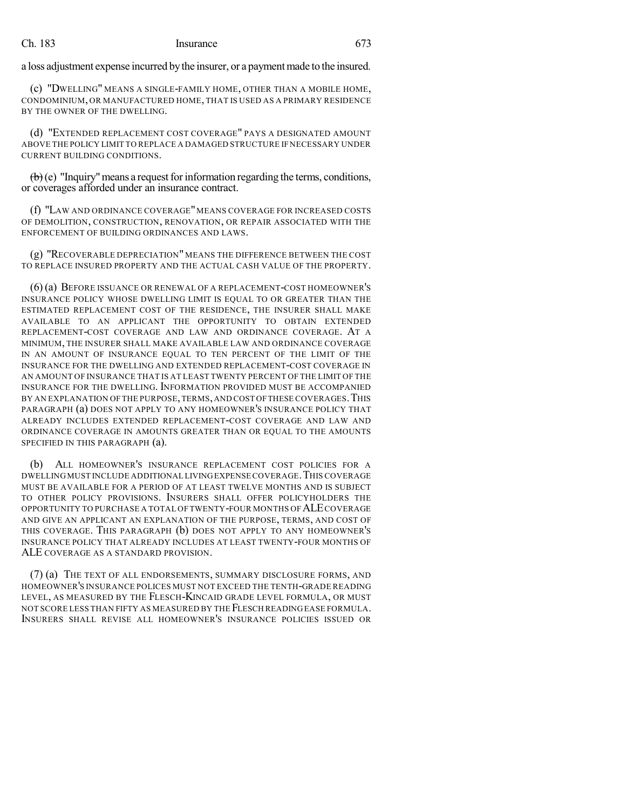### Ch. 183 Insurance 673

a loss adjustment expense incurred by the insurer, or a payment made to the insured.

(c) "DWELLING" MEANS A SINGLE-FAMILY HOME, OTHER THAN A MOBILE HOME, CONDOMINIUM, OR MANUFACTURED HOME, THAT IS USED AS A PRIMARY RESIDENCE BY THE OWNER OF THE DWELLING.

(d) "EXTENDED REPLACEMENT COST COVERAGE" PAYS A DESIGNATED AMOUNT ABOVE THE POLICY LIMIT TO REPLACE A DAMAGED STRUCTURE IF NECESSARY UNDER CURRENT BUILDING CONDITIONS.

 $\left(\mathbf{b}\right)$  (e) "Inquiry" means a request for information regarding the terms, conditions, or coverages afforded under an insurance contract.

(f) "LAW AND ORDINANCE COVERAGE"MEANS COVERAGE FOR INCREASED COSTS OF DEMOLITION, CONSTRUCTION, RENOVATION, OR REPAIR ASSOCIATED WITH THE ENFORCEMENT OF BUILDING ORDINANCES AND LAWS.

(g) "RECOVERABLE DEPRECIATION" MEANS THE DIFFERENCE BETWEEN THE COST TO REPLACE INSURED PROPERTY AND THE ACTUAL CASH VALUE OF THE PROPERTY.

(6) (a) BEFORE ISSUANCE OR RENEWAL OF A REPLACEMENT-COST HOMEOWNER'S INSURANCE POLICY WHOSE DWELLING LIMIT IS EQUAL TO OR GREATER THAN THE ESTIMATED REPLACEMENT COST OF THE RESIDENCE, THE INSURER SHALL MAKE AVAILABLE TO AN APPLICANT THE OPPORTUNITY TO OBTAIN EXTENDED REPLACEMENT-COST COVERAGE AND LAW AND ORDINANCE COVERAGE. AT A MINIMUM, THE INSURER SHALL MAKE AVAILABLE LAW AND ORDINANCE COVERAGE IN AN AMOUNT OF INSURANCE EQUAL TO TEN PERCENT OF THE LIMIT OF THE INSURANCE FOR THE DWELLING AND EXTENDED REPLACEMENT-COST COVERAGE IN AN AMOUNT OF INSURANCE THAT IS AT LEAST TWENTY PERCENT OF THE LIMIT OF THE INSURANCE FOR THE DWELLING. INFORMATION PROVIDED MUST BE ACCOMPANIED BY AN EXPLANATION OF THE PURPOSE, TERMS, AND COST OF THESE COVERAGES. THIS PARAGRAPH (a) DOES NOT APPLY TO ANY HOMEOWNER'S INSURANCE POLICY THAT ALREADY INCLUDES EXTENDED REPLACEMENT-COST COVERAGE AND LAW AND ORDINANCE COVERAGE IN AMOUNTS GREATER THAN OR EQUAL TO THE AMOUNTS SPECIFIED IN THIS PARAGRAPH (a).

(b) ALL HOMEOWNER'S INSURANCE REPLACEMENT COST POLICIES FOR A DWELLING MUST INCLUDE ADDITIONAL LIVINGEXPENSECOVERAGE.THIS COVERAGE MUST BE AVAILABLE FOR A PERIOD OF AT LEAST TWELVE MONTHS AND IS SUBJECT TO OTHER POLICY PROVISIONS. INSURERS SHALL OFFER POLICYHOLDERS THE OPPORTUNITY TO PURCHASE A TOTAL OF TWENTY-FOUR MONTHS OF ALECOVERAGE AND GIVE AN APPLICANT AN EXPLANATION OF THE PURPOSE, TERMS, AND COST OF THIS COVERAGE. THIS PARAGRAPH (b) DOES NOT APPLY TO ANY HOMEOWNER'S INSURANCE POLICY THAT ALREADY INCLUDES AT LEAST TWENTY-FOUR MONTHS OF ALE COVERAGE AS A STANDARD PROVISION.

(7) (a) THE TEXT OF ALL ENDORSEMENTS, SUMMARY DISCLOSURE FORMS, AND HOMEOWNER'S INSURANCE POLICES MUST NOT EXCEED THE TENTH-GRADE READING LEVEL, AS MEASURED BY THE FLESCH-KINCAID GRADE LEVEL FORMULA, OR MUST NOT SCORE LESS THAN FIFTY AS MEASURED BY THE FLESCH READINGEASE FORMULA. INSURERS SHALL REVISE ALL HOMEOWNER'S INSURANCE POLICIES ISSUED OR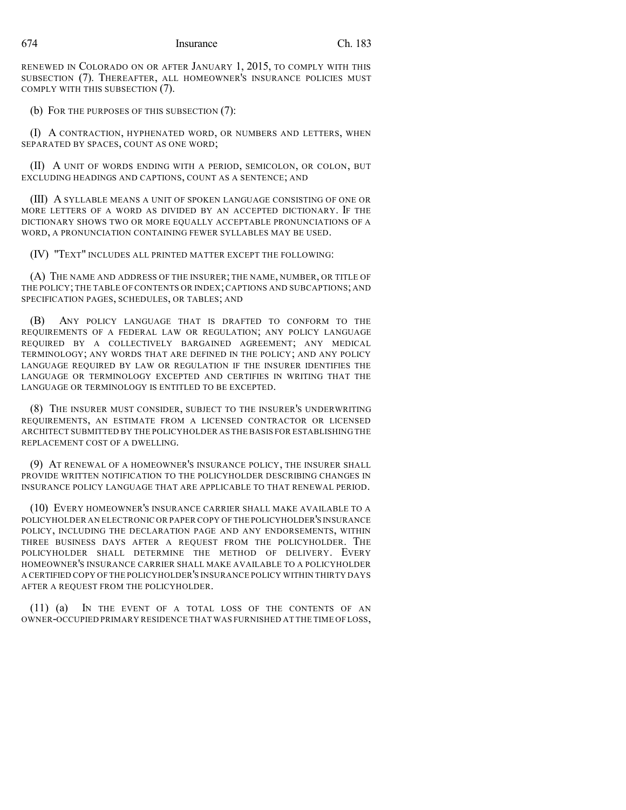RENEWED IN COLORADO ON OR AFTER JANUARY 1, 2015, TO COMPLY WITH THIS SUBSECTION (7). THEREAFTER, ALL HOMEOWNER'S INSURANCE POLICIES MUST COMPLY WITH THIS SUBSECTION (7).

(b) FOR THE PURPOSES OF THIS SUBSECTION (7):

(I) A CONTRACTION, HYPHENATED WORD, OR NUMBERS AND LETTERS, WHEN SEPARATED BY SPACES, COUNT AS ONE WORD;

(II) A UNIT OF WORDS ENDING WITH A PERIOD, SEMICOLON, OR COLON, BUT EXCLUDING HEADINGS AND CAPTIONS, COUNT AS A SENTENCE; AND

(III) A SYLLABLE MEANS A UNIT OF SPOKEN LANGUAGE CONSISTING OF ONE OR MORE LETTERS OF A WORD AS DIVIDED BY AN ACCEPTED DICTIONARY. IF THE DICTIONARY SHOWS TWO OR MORE EQUALLY ACCEPTABLE PRONUNCIATIONS OF A WORD, A PRONUNCIATION CONTAINING FEWER SYLLABLES MAY BE USED.

(IV) "TEXT" INCLUDES ALL PRINTED MATTER EXCEPT THE FOLLOWING:

(A) THE NAME AND ADDRESS OF THE INSURER; THE NAME, NUMBER, OR TITLE OF THE POLICY; THE TABLE OF CONTENTS OR INDEX; CAPTIONS AND SUBCAPTIONS; AND SPECIFICATION PAGES, SCHEDULES, OR TABLES; AND

ANY POLICY LANGUAGE THAT IS DRAFTED TO CONFORM TO THE REQUIREMENTS OF A FEDERAL LAW OR REGULATION; ANY POLICY LANGUAGE REQUIRED BY A COLLECTIVELY BARGAINED AGREEMENT; ANY MEDICAL TERMINOLOGY; ANY WORDS THAT ARE DEFINED IN THE POLICY; AND ANY POLICY LANGUAGE REQUIRED BY LAW OR REGULATION IF THE INSURER IDENTIFIES THE LANGUAGE OR TERMINOLOGY EXCEPTED AND CERTIFIES IN WRITING THAT THE LANGUAGE OR TERMINOLOGY IS ENTITLED TO BE EXCEPTED.

(8) THE INSURER MUST CONSIDER, SUBJECT TO THE INSURER'S UNDERWRITING REQUIREMENTS, AN ESTIMATE FROM A LICENSED CONTRACTOR OR LICENSED ARCHITECT SUBMITTED BY THE POLICYHOLDER AS THE BASIS FOR ESTABLISHING THE REPLACEMENT COST OF A DWELLING.

(9) AT RENEWAL OF A HOMEOWNER'S INSURANCE POLICY, THE INSURER SHALL PROVIDE WRITTEN NOTIFICATION TO THE POLICYHOLDER DESCRIBING CHANGES IN INSURANCE POLICY LANGUAGE THAT ARE APPLICABLE TO THAT RENEWAL PERIOD.

(10) EVERY HOMEOWNER'S INSURANCE CARRIER SHALL MAKE AVAILABLE TO A POLICYHOLDER AN ELECTRONIC OR PAPER COPY OF THE POLICYHOLDER'S INSURANCE POLICY, INCLUDING THE DECLARATION PAGE AND ANY ENDORSEMENTS, WITHIN THREE BUSINESS DAYS AFTER A REQUEST FROM THE POLICYHOLDER. THE POLICYHOLDER SHALL DETERMINE THE METHOD OF DELIVERY. EVERY HOMEOWNER'S INSURANCE CARRIER SHALL MAKE AVAILABLE TO A POLICYHOLDER A CERTIFIED COPY OF THE POLICYHOLDER'S INSURANCE POLICY WITHIN THIRTY DAYS AFTER A REQUEST FROM THE POLICYHOLDER.

(11) (a) IN THE EVENT OF A TOTAL LOSS OF THE CONTENTS OF AN OWNER-OCCUPIED PRIMARY RESIDENCE THAT WAS FURNISHED AT THE TIME OF LOSS,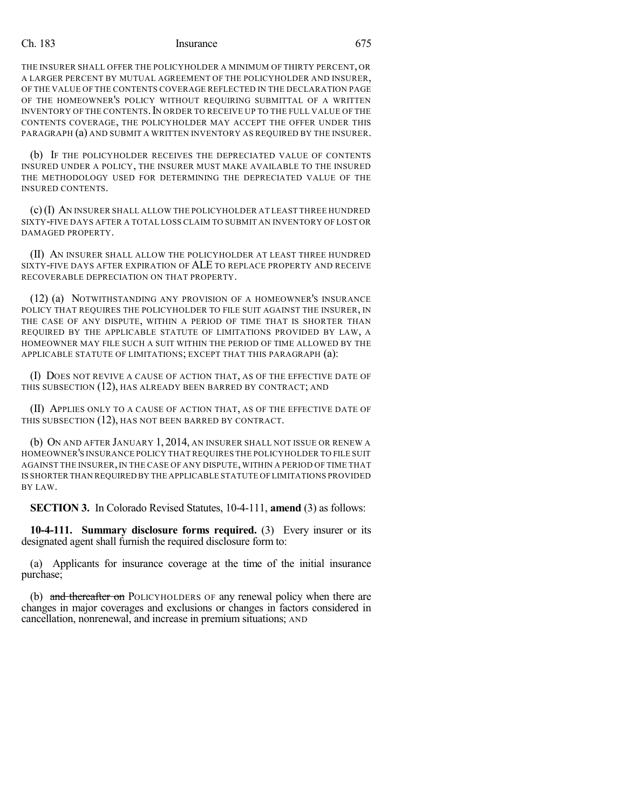### Ch. 183 Insurance 675

THE INSURER SHALL OFFER THE POLICYHOLDER A MINIMUM OF THIRTY PERCENT, OR A LARGER PERCENT BY MUTUAL AGREEMENT OF THE POLICYHOLDER AND INSURER, OF THE VALUE OF THE CONTENTS COVERAGE REFLECTED IN THE DECLARATION PAGE OF THE HOMEOWNER'S POLICY WITHOUT REQUIRING SUBMITTAL OF A WRITTEN INVENTORY OF THE CONTENTS.IN ORDER TO RECEIVE UP TO THE FULL VALUE OF THE CONTENTS COVERAGE, THE POLICYHOLDER MAY ACCEPT THE OFFER UNDER THIS PARAGRAPH (a) AND SUBMIT A WRITTEN INVENTORY AS REQUIRED BY THE INSURER.

(b) IF THE POLICYHOLDER RECEIVES THE DEPRECIATED VALUE OF CONTENTS INSURED UNDER A POLICY, THE INSURER MUST MAKE AVAILABLE TO THE INSURED THE METHODOLOGY USED FOR DETERMINING THE DEPRECIATED VALUE OF THE INSURED CONTENTS.

(c)(I) AN INSURER SHALL ALLOW THE POLICYHOLDER AT LEAST THREE HUNDRED SIXTY-FIVE DAYS AFTER A TOTAL LOSS CLAIM TO SUBMIT AN INVENTORY OF LOST OR DAMAGED PROPERTY.

(II) AN INSURER SHALL ALLOW THE POLICYHOLDER AT LEAST THREE HUNDRED SIXTY-FIVE DAYS AFTER EXPIRATION OF ALE TO REPLACE PROPERTY AND RECEIVE RECOVERABLE DEPRECIATION ON THAT PROPERTY.

(12) (a) NOTWITHSTANDING ANY PROVISION OF A HOMEOWNER'S INSURANCE POLICY THAT REQUIRES THE POLICYHOLDER TO FILE SUIT AGAINST THE INSURER, IN THE CASE OF ANY DISPUTE, WITHIN A PERIOD OF TIME THAT IS SHORTER THAN REQUIRED BY THE APPLICABLE STATUTE OF LIMITATIONS PROVIDED BY LAW, A HOMEOWNER MAY FILE SUCH A SUIT WITHIN THE PERIOD OF TIME ALLOWED BY THE APPLICABLE STATUTE OF LIMITATIONS; EXCEPT THAT THIS PARAGRAPH (a):

(I) DOES NOT REVIVE A CAUSE OF ACTION THAT, AS OF THE EFFECTIVE DATE OF THIS SUBSECTION (12), HAS ALREADY BEEN BARRED BY CONTRACT; AND

(II) APPLIES ONLY TO A CAUSE OF ACTION THAT, AS OF THE EFFECTIVE DATE OF THIS SUBSECTION (12), HAS NOT BEEN BARRED BY CONTRACT.

(b) ON AND AFTER JANUARY 1, 2014, AN INSURER SHALL NOT ISSUE OR RENEW A HOMEOWNER'S INSURANCE POLICY THAT REQUIRES THE POLICYHOLDER TO FILE SUIT AGAINST THE INSURER,IN THE CASE OF ANY DISPUTE, WITHIN A PERIOD OF TIME THAT IS SHORTER THAN REQUIRED BY THE APPLICABLE STATUTE OF LIMITATIONS PROVIDED BY LAW.

**SECTION 3.** In Colorado Revised Statutes, 10-4-111, **amend** (3) as follows:

**10-4-111. Summary disclosure forms required.** (3) Every insurer or its designated agent shall furnish the required disclosure form to:

(a) Applicants for insurance coverage at the time of the initial insurance purchase;

(b) and thereafter on POLICYHOLDERS OF any renewal policy when there are changes in major coverages and exclusions or changes in factors considered in cancellation, nonrenewal, and increase in premium situations; AND